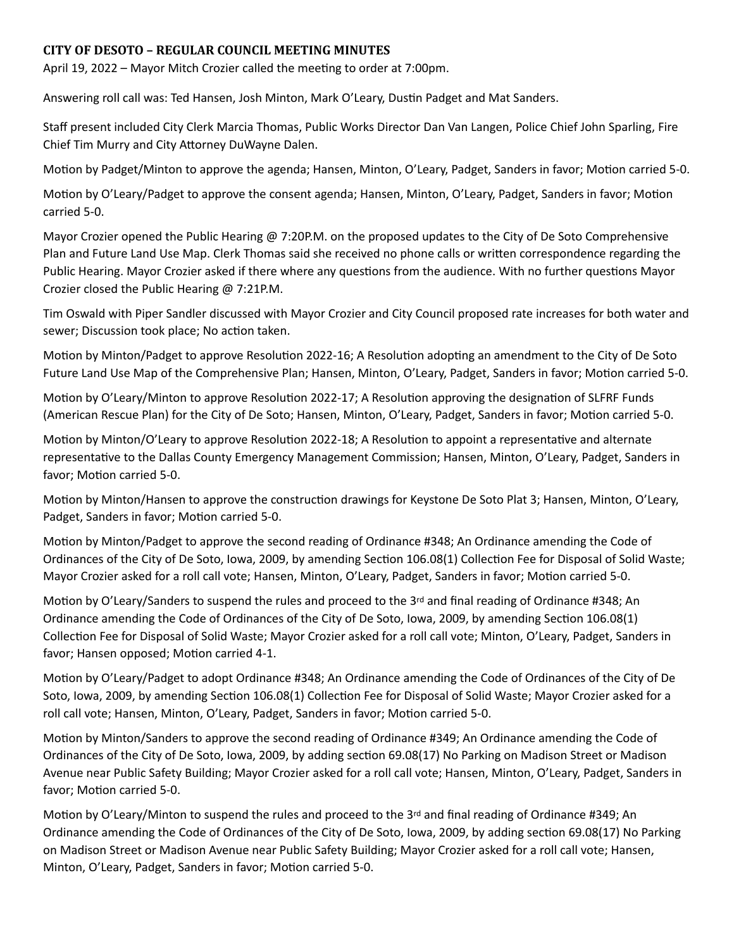## **CITY OF DESOTO – REGULAR COUNCIL MEETING MINUTES**

April 19, 2022 – Mayor Mitch Crozier called the meeting to order at 7:00pm.

Answering roll call was: Ted Hansen, Josh Minton, Mark O'Leary, Dustin Padget and Mat Sanders.

Staff present included City Clerk Marcia Thomas, Public Works Director Dan Van Langen, Police Chief John Sparling, Fire Chief Tim Murry and City Attorney DuWayne Dalen.

Motion by Padget/Minton to approve the agenda; Hansen, Minton, O'Leary, Padget, Sanders in favor; Motion carried 5-0.

Motion by O'Leary/Padget to approve the consent agenda; Hansen, Minton, O'Leary, Padget, Sanders in favor; Motion carried 5-0.

Mayor Crozier opened the Public Hearing @ 7:20P.M. on the proposed updates to the City of De Soto Comprehensive Plan and Future Land Use Map. Clerk Thomas said she received no phone calls or written correspondence regarding the Public Hearing. Mayor Crozier asked if there where any questions from the audience. With no further questions Mayor Crozier closed the Public Hearing @ 7:21P.M.

Tim Oswald with Piper Sandler discussed with Mayor Crozier and City Council proposed rate increases for both water and sewer; Discussion took place; No action taken.

Motion by Minton/Padget to approve Resolution 2022-16; A Resolution adopting an amendment to the City of De Soto Future Land Use Map of the Comprehensive Plan; Hansen, Minton, O'Leary, Padget, Sanders in favor; Motion carried 5-0.

Motion by O'Leary/Minton to approve Resolution 2022-17; A Resolution approving the designation of SLFRF Funds (American Rescue Plan) for the City of De Soto; Hansen, Minton, O'Leary, Padget, Sanders in favor; Motion carried 5-0.

Motion by Minton/O'Leary to approve Resolution 2022-18; A Resolution to appoint a representative and alternate representative to the Dallas County Emergency Management Commission; Hansen, Minton, O'Leary, Padget, Sanders in favor; Motion carried 5-0.

Motion by Minton/Hansen to approve the construction drawings for Keystone De Soto Plat 3; Hansen, Minton, O'Leary, Padget, Sanders in favor; Motion carried 5-0.

Motion by Minton/Padget to approve the second reading of Ordinance #348; An Ordinance amending the Code of Ordinances of the City of De Soto, Iowa, 2009, by amending Section 106.08(1) Collection Fee for Disposal of Solid Waste; Mayor Crozier asked for a roll call vote; Hansen, Minton, O'Leary, Padget, Sanders in favor; Motion carried 5-0.

Motion by O'Leary/Sanders to suspend the rules and proceed to the 3rd and final reading of Ordinance #348; An Ordinance amending the Code of Ordinances of the City of De Soto, Iowa, 2009, by amending Section 106.08(1) Collection Fee for Disposal of Solid Waste; Mayor Crozier asked for a roll call vote; Minton, O'Leary, Padget, Sanders in favor; Hansen opposed; Motion carried 4-1.

Motion by O'Leary/Padget to adopt Ordinance #348; An Ordinance amending the Code of Ordinances of the City of De Soto, Iowa, 2009, by amending Section 106.08(1) Collection Fee for Disposal of Solid Waste; Mayor Crozier asked for a roll call vote; Hansen, Minton, O'Leary, Padget, Sanders in favor; Motion carried 5-0.

Motion by Minton/Sanders to approve the second reading of Ordinance #349; An Ordinance amending the Code of Ordinances of the City of De Soto, Iowa, 2009, by adding section 69.08(17) No Parking on Madison Street or Madison Avenue near Public Safety Building; Mayor Crozier asked for a roll call vote; Hansen, Minton, O'Leary, Padget, Sanders in favor; Motion carried 5-0.

Motion by O'Leary/Minton to suspend the rules and proceed to the 3<sup>rd</sup> and final reading of Ordinance #349; An Ordinance amending the Code of Ordinances of the City of De Soto, Iowa, 2009, by adding section 69.08(17) No Parking on Madison Street or Madison Avenue near Public Safety Building; Mayor Crozier asked for a roll call vote; Hansen, Minton, O'Leary, Padget, Sanders in favor; Motion carried 5-0.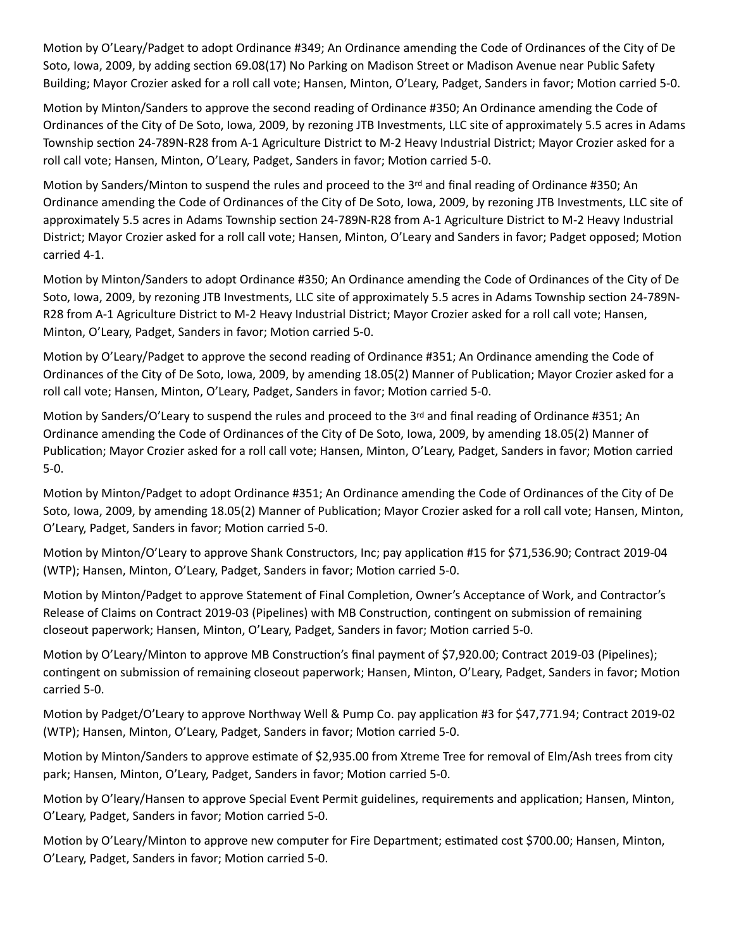Motion by O'Leary/Padget to adopt Ordinance #349; An Ordinance amending the Code of Ordinances of the City of De Soto, Iowa, 2009, by adding section 69.08(17) No Parking on Madison Street or Madison Avenue near Public Safety Building; Mayor Crozier asked for a roll call vote; Hansen, Minton, O'Leary, Padget, Sanders in favor; Motion carried 5-0.

Motion by Minton/Sanders to approve the second reading of Ordinance #350; An Ordinance amending the Code of Ordinances of the City of De Soto, Iowa, 2009, by rezoning JTB Investments, LLC site of approximately 5.5 acres in Adams Township section 24-789N-R28 from A-1 Agriculture District to M-2 Heavy Industrial District; Mayor Crozier asked for a roll call vote; Hansen, Minton, O'Leary, Padget, Sanders in favor; Motion carried 5-0.

Motion by Sanders/Minton to suspend the rules and proceed to the 3<sup>rd</sup> and final reading of Ordinance #350; An Ordinance amending the Code of Ordinances of the City of De Soto, Iowa, 2009, by rezoning JTB Investments, LLC site of approximately 5.5 acres in Adams Township section 24-789N-R28 from A-1 Agriculture District to M-2 Heavy Industrial District; Mayor Crozier asked for a roll call vote; Hansen, Minton, O'Leary and Sanders in favor; Padget opposed; Motion carried 4-1.

Motion by Minton/Sanders to adopt Ordinance #350; An Ordinance amending the Code of Ordinances of the City of De Soto, Iowa, 2009, by rezoning JTB Investments, LLC site of approximately 5.5 acres in Adams Township section 24-789N-R28 from A-1 Agriculture District to M-2 Heavy Industrial District; Mayor Crozier asked for a roll call vote; Hansen, Minton, O'Leary, Padget, Sanders in favor; Motion carried 5-0.

Motion by O'Leary/Padget to approve the second reading of Ordinance #351; An Ordinance amending the Code of Ordinances of the City of De Soto, Iowa, 2009, by amending 18.05(2) Manner of Publication; Mayor Crozier asked for a roll call vote; Hansen, Minton, O'Leary, Padget, Sanders in favor; Motion carried 5-0.

Motion by Sanders/O'Leary to suspend the rules and proceed to the 3rd and final reading of Ordinance #351; An Ordinance amending the Code of Ordinances of the City of De Soto, Iowa, 2009, by amending 18.05(2) Manner of Publication; Mayor Crozier asked for a roll call vote; Hansen, Minton, O'Leary, Padget, Sanders in favor; Motion carried 5-0.

Motion by Minton/Padget to adopt Ordinance #351; An Ordinance amending the Code of Ordinances of the City of De Soto, Iowa, 2009, by amending 18.05(2) Manner of Publication; Mayor Crozier asked for a roll call vote; Hansen, Minton, O'Leary, Padget, Sanders in favor; Motion carried 5-0.

Motion by Minton/O'Leary to approve Shank Constructors, Inc; pay application #15 for \$71,536.90; Contract 2019-04 (WTP); Hansen, Minton, O'Leary, Padget, Sanders in favor; Motion carried 5-0.

Motion by Minton/Padget to approve Statement of Final Completion, Owner's Acceptance of Work, and Contractor's Release of Claims on Contract 2019-03 (Pipelines) with MB Construction, contingent on submission of remaining closeout paperwork; Hansen, Minton, O'Leary, Padget, Sanders in favor; Motion carried 5-0.

Motion by O'Leary/Minton to approve MB Construction's final payment of \$7,920.00; Contract 2019-03 (Pipelines); contingent on submission of remaining closeout paperwork; Hansen, Minton, O'Leary, Padget, Sanders in favor; Motion carried 5-0.

Motion by Padget/O'Leary to approve Northway Well & Pump Co. pay application #3 for \$47,771.94; Contract 2019-02 (WTP); Hansen, Minton, O'Leary, Padget, Sanders in favor; Motion carried 5-0.

Motion by Minton/Sanders to approve estimate of \$2,935.00 from Xtreme Tree for removal of Elm/Ash trees from city park; Hansen, Minton, O'Leary, Padget, Sanders in favor; Motion carried 5-0.

Motion by O'leary/Hansen to approve Special Event Permit guidelines, requirements and application; Hansen, Minton, O'Leary, Padget, Sanders in favor; Motion carried 5-0.

Motion by O'Leary/Minton to approve new computer for Fire Department; estimated cost \$700.00; Hansen, Minton, O'Leary, Padget, Sanders in favor; Motion carried 5-0.